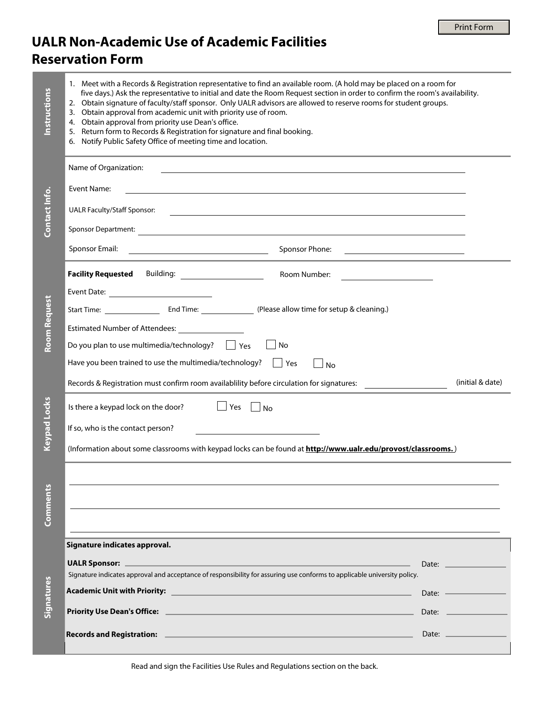## **UALR Non-Academic Use of Academic Facilities Reservation Form**

| <b>Instructions</b> | 1. Meet with a Records & Registration representative to find an available room. (A hold may be placed on a room for<br>five days.) Ask the representative to initial and date the Room Request section in order to confirm the room's availability.<br>2. Obtain signature of faculty/staff sponsor. Only UALR advisors are allowed to reserve rooms for student groups.<br>3. Obtain approval from academic unit with priority use of room.<br>4. Obtain approval from priority use Dean's office.<br>5. Return form to Records & Registration for signature and final booking.<br>6. Notify Public Safety Office of meeting time and location. |  |                                                                                                                                                                                                                               |  |  |  |  |  |  |
|---------------------|--------------------------------------------------------------------------------------------------------------------------------------------------------------------------------------------------------------------------------------------------------------------------------------------------------------------------------------------------------------------------------------------------------------------------------------------------------------------------------------------------------------------------------------------------------------------------------------------------------------------------------------------------|--|-------------------------------------------------------------------------------------------------------------------------------------------------------------------------------------------------------------------------------|--|--|--|--|--|--|
| Contact Info        | Name of Organization:<br><u> 1989 - Johann Stoff, Amerikaansk politiker (* 1958)</u>                                                                                                                                                                                                                                                                                                                                                                                                                                                                                                                                                             |  |                                                                                                                                                                                                                               |  |  |  |  |  |  |
|                     | Event Name:<br><u> 1989 - Johann Stoff, amerikansk politiker (d. 1989)</u>                                                                                                                                                                                                                                                                                                                                                                                                                                                                                                                                                                       |  |                                                                                                                                                                                                                               |  |  |  |  |  |  |
|                     | <b>UALR Faculty/Staff Sponsor:</b><br><u> 1989 - Johann Stoff, amerikansk politiker (d. 1989)</u>                                                                                                                                                                                                                                                                                                                                                                                                                                                                                                                                                |  |                                                                                                                                                                                                                               |  |  |  |  |  |  |
|                     |                                                                                                                                                                                                                                                                                                                                                                                                                                                                                                                                                                                                                                                  |  |                                                                                                                                                                                                                               |  |  |  |  |  |  |
|                     | Sponsor Email:<br>Sponsor Phone:<br><u> 1989 - John Harry Harry Harry Harry Harry Harry Harry Harry Harry Harry Harry Harry Harry Harry Harry Harry H</u><br><u> 1989 - Johann Barn, mars eta bainar eta idazlea (</u>                                                                                                                                                                                                                                                                                                                                                                                                                           |  |                                                                                                                                                                                                                               |  |  |  |  |  |  |
| Room Request        | <b>Facility Requested</b> Building: <b>Division Property Requested</b><br>Room Number:                                                                                                                                                                                                                                                                                                                                                                                                                                                                                                                                                           |  |                                                                                                                                                                                                                               |  |  |  |  |  |  |
|                     |                                                                                                                                                                                                                                                                                                                                                                                                                                                                                                                                                                                                                                                  |  |                                                                                                                                                                                                                               |  |  |  |  |  |  |
|                     |                                                                                                                                                                                                                                                                                                                                                                                                                                                                                                                                                                                                                                                  |  |                                                                                                                                                                                                                               |  |  |  |  |  |  |
|                     | Estimated Number of Attendees: __________________                                                                                                                                                                                                                                                                                                                                                                                                                                                                                                                                                                                                |  |                                                                                                                                                                                                                               |  |  |  |  |  |  |
|                     | Do you plan to use multimedia/technology? $\Box$ Yes<br>No                                                                                                                                                                                                                                                                                                                                                                                                                                                                                                                                                                                       |  |                                                                                                                                                                                                                               |  |  |  |  |  |  |
|                     | Have you been trained to use the multimedia/technology? $\Box$ Yes<br>$\Box$ No                                                                                                                                                                                                                                                                                                                                                                                                                                                                                                                                                                  |  |                                                                                                                                                                                                                               |  |  |  |  |  |  |
|                     | Records & Registration must confirm room availabiliity before circulation for signatures:                                                                                                                                                                                                                                                                                                                                                                                                                                                                                                                                                        |  | (initial & date)                                                                                                                                                                                                              |  |  |  |  |  |  |
| <b>Keypad Locks</b> | Is there a keypad lock on the door? $\Box$ Yes $\Box$ No                                                                                                                                                                                                                                                                                                                                                                                                                                                                                                                                                                                         |  |                                                                                                                                                                                                                               |  |  |  |  |  |  |
|                     | If so, who is the contact person?                                                                                                                                                                                                                                                                                                                                                                                                                                                                                                                                                                                                                |  |                                                                                                                                                                                                                               |  |  |  |  |  |  |
|                     | (Information about some classrooms with keypad locks can be found at http://www.ualr.edu/provost/classrooms.)                                                                                                                                                                                                                                                                                                                                                                                                                                                                                                                                    |  |                                                                                                                                                                                                                               |  |  |  |  |  |  |
|                     |                                                                                                                                                                                                                                                                                                                                                                                                                                                                                                                                                                                                                                                  |  |                                                                                                                                                                                                                               |  |  |  |  |  |  |
|                     |                                                                                                                                                                                                                                                                                                                                                                                                                                                                                                                                                                                                                                                  |  |                                                                                                                                                                                                                               |  |  |  |  |  |  |
| Comments            |                                                                                                                                                                                                                                                                                                                                                                                                                                                                                                                                                                                                                                                  |  |                                                                                                                                                                                                                               |  |  |  |  |  |  |
|                     | Signature indicates approval.                                                                                                                                                                                                                                                                                                                                                                                                                                                                                                                                                                                                                    |  |                                                                                                                                                                                                                               |  |  |  |  |  |  |
| <b>Signatures</b>   |                                                                                                                                                                                                                                                                                                                                                                                                                                                                                                                                                                                                                                                  |  | Date: and the contract of the contract of the contract of the contract of the contract of the contract of the contract of the contract of the contract of the contract of the contract of the contract of the contract of the |  |  |  |  |  |  |
|                     | Signature indicates approval and acceptance of responsibility for assuring use conforms to applicable university policy.                                                                                                                                                                                                                                                                                                                                                                                                                                                                                                                         |  |                                                                                                                                                                                                                               |  |  |  |  |  |  |
|                     | Academic Unit with Priority: <u>Electronic Control Control Control Control</u> Control Control Control Control Control                                                                                                                                                                                                                                                                                                                                                                                                                                                                                                                           |  |                                                                                                                                                                                                                               |  |  |  |  |  |  |
|                     |                                                                                                                                                                                                                                                                                                                                                                                                                                                                                                                                                                                                                                                  |  |                                                                                                                                                                                                                               |  |  |  |  |  |  |
|                     |                                                                                                                                                                                                                                                                                                                                                                                                                                                                                                                                                                                                                                                  |  | Date: $\qquad \qquad$                                                                                                                                                                                                         |  |  |  |  |  |  |

Read and sign the Facilities Use Rules and Regulations section on the back.